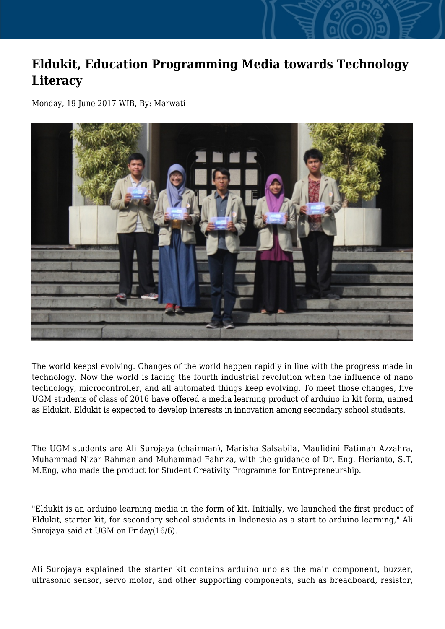## **Eldukit, Education Programming Media towards Technology Literacy**

Monday, 19 June 2017 WIB, By: Marwati



The world keepsl evolving. Changes of the world happen rapidly in line with the progress made in technology. Now the world is facing the fourth industrial revolution when the influence of nano technology, microcontroller, and all automated things keep evolving. To meet those changes, five UGM students of class of 2016 have offered a media learning product of arduino in kit form, named as Eldukit. Eldukit is expected to develop interests in innovation among secondary school students.

The UGM students are Ali Surojaya (chairman), Marisha Salsabila, Maulidini Fatimah Azzahra, Muhammad Nizar Rahman and Muhammad Fahriza, with the guidance of Dr. Eng. Herianto, S.T, M.Eng, who made the product for Student Creativity Programme for Entrepreneurship.

"Eldukit is an arduino learning media in the form of kit. Initially, we launched the first product of Eldukit, starter kit, for secondary school students in Indonesia as a start to arduino learning," Ali Surojaya said at UGM on Friday(16/6).

Ali Surojaya explained the starter kit contains arduino uno as the main component, buzzer, ultrasonic sensor, servo motor, and other supporting components, such as breadboard, resistor,